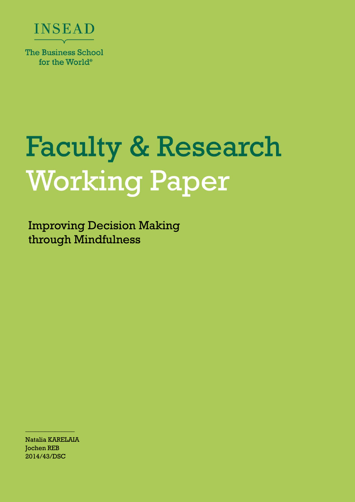

**The Business School** for the World®

# **Faculty & Research Working Paper**

Improving Decision Making through Mindfulness

Natalia KARELAIA Jochen REB 2014/43/DSC

 $\overline{\phantom{a}}$  , we can also the set of  $\overline{\phantom{a}}$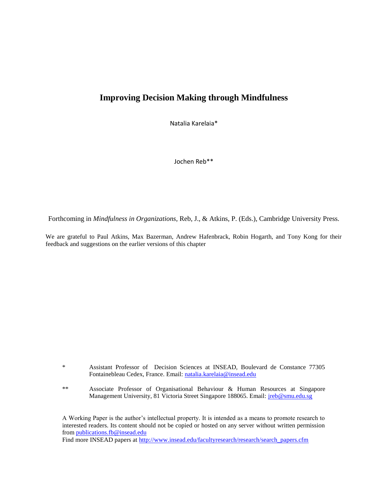### **Improving Decision Making through Mindfulness**

Natalia Karelaia\*

Jochen Reb\*\*

Forthcoming in *Mindfulness in Organizations*, Reb, J., & Atkins, P. (Eds.), Cambridge University Press.

We are grateful to Paul Atkins, Max Bazerman, Andrew Hafenbrack, Robin Hogarth, and Tony Kong for their feedback and suggestions on the earlier versions of this chapter

\* Assistant Professor of Decision Sciences at INSEAD, Boulevard de Constance 77305 Fontainebleau Cedex, France. Email: natalia.karelaia@insead.edu

\*\* Associate Professor of Organisational Behaviour & Human Resources at Singapore Management University, 81 Victoria Street Singapore 188065. Email: jreb@smu.edu.sg

A Working Paper is the author's intellectual property. It is intended as a means to promote research to interested readers. Its content should not be copied or hosted on any server without written permission from publications.fb@insead.edu

Find more INSEAD papers at http://www.insead.edu/facultyresearch/research/search\_papers.cfm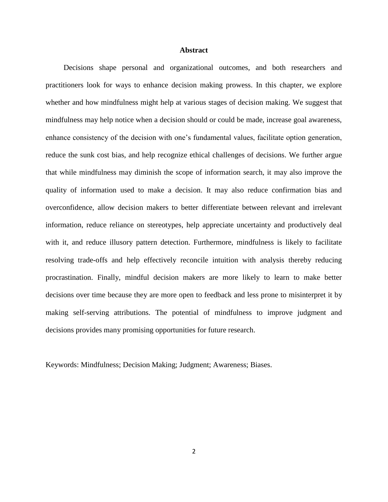#### **Abstract**

Decisions shape personal and organizational outcomes, and both researchers and practitioners look for ways to enhance decision making prowess. In this chapter, we explore whether and how mindfulness might help at various stages of decision making. We suggest that mindfulness may help notice when a decision should or could be made, increase goal awareness, enhance consistency of the decision with one's fundamental values, facilitate option generation, reduce the sunk cost bias, and help recognize ethical challenges of decisions. We further argue that while mindfulness may diminish the scope of information search, it may also improve the quality of information used to make a decision. It may also reduce confirmation bias and overconfidence, allow decision makers to better differentiate between relevant and irrelevant information, reduce reliance on stereotypes, help appreciate uncertainty and productively deal with it, and reduce illusory pattern detection. Furthermore, mindfulness is likely to facilitate resolving trade-offs and help effectively reconcile intuition with analysis thereby reducing procrastination. Finally, mindful decision makers are more likely to learn to make better decisions over time because they are more open to feedback and less prone to misinterpret it by making self-serving attributions. The potential of mindfulness to improve judgment and decisions provides many promising opportunities for future research.

Keywords: Mindfulness; Decision Making; Judgment; Awareness; Biases.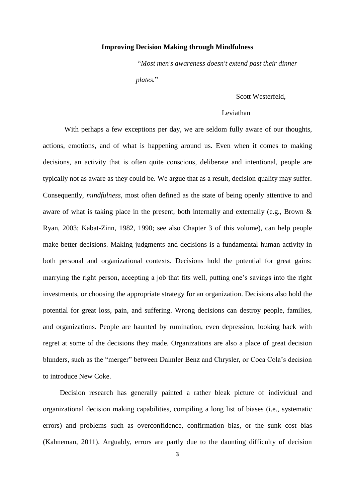#### **Improving Decision Making through Mindfulness**

"*Most men's awareness doesn't extend past their dinner* 

*plates.*"

Scott Westerfeld,

#### Leviathan

With perhaps a few exceptions per day, we are seldom fully aware of our thoughts, actions, emotions, and of what is happening around us. Even when it comes to making decisions, an activity that is often quite conscious, deliberate and intentional, people are typically not as aware as they could be. We argue that as a result, decision quality may suffer. Consequently, *mindfulness*, most often defined as the state of being openly attentive to and aware of what is taking place in the present, both internally and externally (e.g., Brown & Ryan, 2003; Kabat-Zinn, 1982, 1990; see also Chapter 3 of this volume), can help people make better decisions. Making judgments and decisions is a fundamental human activity in both personal and organizational contexts. Decisions hold the potential for great gains: marrying the right person, accepting a job that fits well, putting one's savings into the right investments, or choosing the appropriate strategy for an organization. Decisions also hold the potential for great loss, pain, and suffering. Wrong decisions can destroy people, families, and organizations. People are haunted by rumination, even depression, looking back with regret at some of the decisions they made. Organizations are also a place of great decision blunders, such as the "merger" between Daimler Benz and Chrysler, or Coca Cola's decision to introduce New Coke.

Decision research has generally painted a rather bleak picture of individual and organizational decision making capabilities, compiling a long list of biases (i.e., systematic errors) and problems such as overconfidence, confirmation bias, or the sunk cost bias (Kahneman, 2011). Arguably, errors are partly due to the daunting difficulty of decision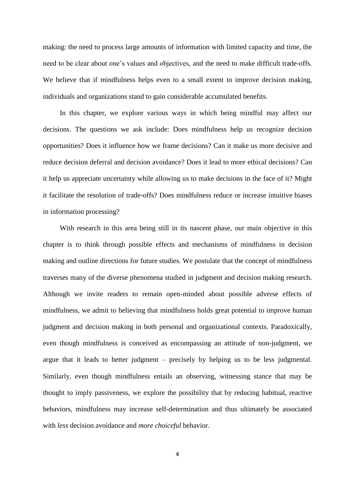making: the need to process large amounts of information with limited capacity and time, the need to be clear about one's values and objectives, and the need to make difficult trade-offs. We believe that if mindfulness helps even to a small extent to improve decision making, individuals and organizations stand to gain considerable accumulated benefits.

In this chapter, we explore various ways in which being mindful may affect our decisions. The questions we ask include: Does mindfulness help us recognize decision opportunities? Does it influence how we frame decisions? Can it make us more decisive and reduce decision deferral and decision avoidance? Does it lead to more ethical decisions? Can it help us appreciate uncertainty while allowing us to make decisions in the face of it? Might it facilitate the resolution of trade-offs? Does mindfulness reduce or increase intuitive biases in information processing?

With research in this area being still in its nascent phase, our main objective in this chapter is to think through possible effects and mechanisms of mindfulness in decision making and outline directions for future studies. We postulate that the concept of mindfulness traverses many of the diverse phenomena studied in judgment and decision making research. Although we invite readers to remain open-minded about possible adverse effects of mindfulness, we admit to believing that mindfulness holds great potential to improve human judgment and decision making in both personal and organizational contexts. Paradoxically, even though mindfulness is conceived as encompassing an attitude of non-judgment, we argue that it leads to better judgment – precisely by helping us to be less judgmental. Similarly, even though mindfulness entails an observing, witnessing stance that may be thought to imply passiveness, we explore the possibility that by reducing habitual, reactive behaviors, mindfulness may increase self-determination and thus ultimately be associated with *less* decision avoidance and *more choiceful* behavior.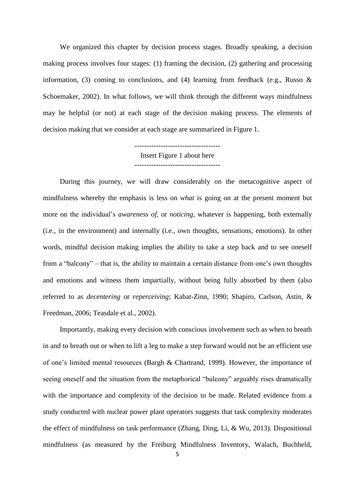We organized this chapter by decision process stages. Broadly speaking, a decision making process involves four stages: (1) framing the decision, (2) gathering and processing information, (3) coming to conclusions, and (4) learning from feedback (e.g., Russo  $\&$ Schoemaker, 2002). In what follows, we will think through the different ways mindfulness may be helpful (or not) at each stage of the decision making process. The elements of decision making that we consider at each stage are summarized in Figure 1.

> ------------------------------------ Insert Figure 1 about here ------------------------------------

During this journey, we will draw considerably on the metacognitive aspect of mindfulness whereby the emphasis is less on *what* is going on at the present moment but more on the individual's *awareness of*, or *noticing*, whatever is happening, both externally (i.e., in the environment) and internally (i.e., own thoughts, sensations, emotions). In other words, mindful decision making implies the ability to take a step back and to see oneself from a "balcony" – that is, the ability to maintain a certain distance from one's own thoughts and emotions and witness them impartially, without being fully absorbed by them (also referred to as *decentering* or *reperceiving*; Kabat-Zinn, 1990; Shapiro, Carlson, Astin, & Freedman, 2006; Teasdale et al., 2002).

Importantly, making every decision with conscious involvement such as when to breath in and to breath out or when to lift a leg to make a step forward would not be an efficient use of one's limited mental resources (Bargh & Chartrand, 1999). However, the importance of seeing oneself and the situation from the metaphorical "balcony" arguably rises dramatically with the importance and complexity of the decision to be made. Related evidence from a study conducted with nuclear power plant operators suggests that task complexity moderates the effect of mindfulness on task performance (Zhang, Ding, Li, & Wu, 2013). Dispositional mindfulness (as measured by the Freiburg Mindfulness Inventory, Walach, Buchheld,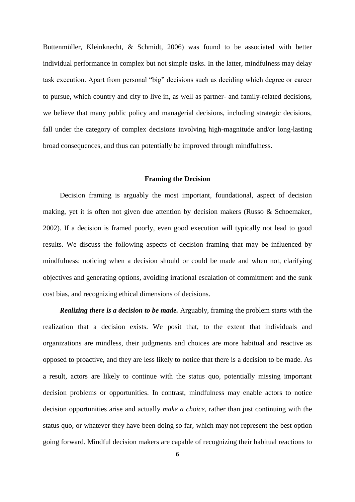Buttenmüller, Kleinknecht, & Schmidt, 2006) was found to be associated with better individual performance in complex but not simple tasks. In the latter, mindfulness may delay task execution. Apart from personal "big" decisions such as deciding which degree or career to pursue, which country and city to live in, as well as partner- and family-related decisions, we believe that many public policy and managerial decisions, including strategic decisions, fall under the category of complex decisions involving high-magnitude and/or long-lasting broad consequences, and thus can potentially be improved through mindfulness.

#### **Framing the Decision**

Decision framing is arguably the most important, foundational, aspect of decision making, yet it is often not given due attention by decision makers (Russo & Schoemaker, 2002). If a decision is framed poorly, even good execution will typically not lead to good results. We discuss the following aspects of decision framing that may be influenced by mindfulness: noticing when a decision should or could be made and when not, clarifying objectives and generating options, avoiding irrational escalation of commitment and the sunk cost bias, and recognizing ethical dimensions of decisions.

*Realizing there is a decision to be made.* Arguably, framing the problem starts with the realization that a decision exists. We posit that, to the extent that individuals and organizations are mindless, their judgments and choices are more habitual and reactive as opposed to proactive, and they are less likely to notice that there is a decision to be made. As a result, actors are likely to continue with the status quo, potentially missing important decision problems or opportunities. In contrast, mindfulness may enable actors to notice decision opportunities arise and actually *make a choice*, rather than just continuing with the status quo, or whatever they have been doing so far, which may not represent the best option going forward. Mindful decision makers are capable of recognizing their habitual reactions to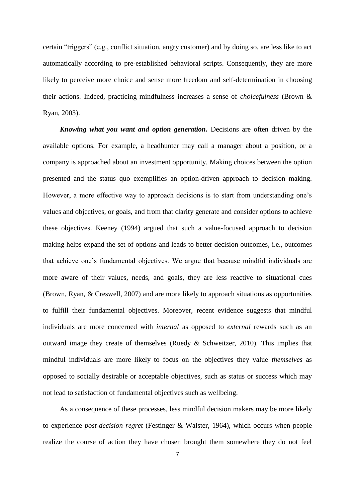certain "triggers" (e.g., conflict situation, angry customer) and by doing so, are less like to act automatically according to pre-established behavioral scripts. Consequently, they are more likely to perceive more choice and sense more freedom and self-determination in choosing their actions. Indeed, practicing mindfulness increases a sense of *choicefulness* (Brown & Ryan, 2003).

*Knowing what you want and option generation.* Decisions are often driven by the available options. For example, a headhunter may call a manager about a position, or a company is approached about an investment opportunity. Making choices between the option presented and the status quo exemplifies an option-driven approach to decision making. However, a more effective way to approach decisions is to start from understanding one's values and objectives, or goals, and from that clarity generate and consider options to achieve these objectives. Keeney (1994) argued that such a value-focused approach to decision making helps expand the set of options and leads to better decision outcomes, i.e., outcomes that achieve one's fundamental objectives. We argue that because mindful individuals are more aware of their values, needs, and goals, they are less reactive to situational cues (Brown, Ryan, & Creswell, 2007) and are more likely to approach situations as opportunities to fulfill their fundamental objectives. Moreover, recent evidence suggests that mindful individuals are more concerned with *internal* as opposed to *external* rewards such as an outward image they create of themselves (Ruedy & Schweitzer, 2010). This implies that mindful individuals are more likely to focus on the objectives they value *themselves* as opposed to socially desirable or acceptable objectives, such as status or success which may not lead to satisfaction of fundamental objectives such as wellbeing.

As a consequence of these processes, less mindful decision makers may be more likely to experience *post-decision regret* (Festinger & Walster, 1964), which occurs when people realize the course of action they have chosen brought them somewhere they do not feel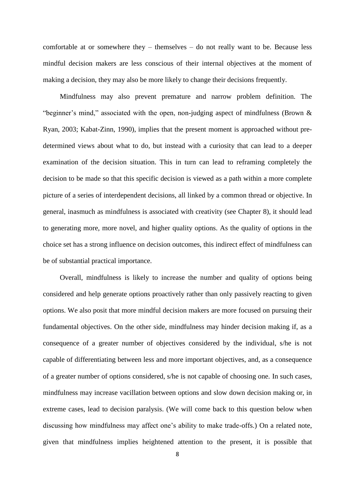comfortable at or somewhere they – themselves – do not really want to be. Because less mindful decision makers are less conscious of their internal objectives at the moment of making a decision, they may also be more likely to change their decisions frequently.

Mindfulness may also prevent premature and narrow problem definition. The "beginner's mind," associated with the open, non-judging aspect of mindfulness (Brown & Ryan, 2003; Kabat-Zinn, 1990), implies that the present moment is approached without predetermined views about what to do, but instead with a curiosity that can lead to a deeper examination of the decision situation. This in turn can lead to reframing completely the decision to be made so that this specific decision is viewed as a path within a more complete picture of a series of interdependent decisions, all linked by a common thread or objective. In general, inasmuch as mindfulness is associated with creativity (see Chapter 8), it should lead to generating more, more novel, and higher quality options. As the quality of options in the choice set has a strong influence on decision outcomes, this indirect effect of mindfulness can be of substantial practical importance.

Overall, mindfulness is likely to increase the number and quality of options being considered and help generate options proactively rather than only passively reacting to given options. We also posit that more mindful decision makers are more focused on pursuing their fundamental objectives. On the other side, mindfulness may hinder decision making if, as a consequence of a greater number of objectives considered by the individual, s/he is not capable of differentiating between less and more important objectives, and, as a consequence of a greater number of options considered, s/he is not capable of choosing one. In such cases, mindfulness may increase vacillation between options and slow down decision making or, in extreme cases, lead to decision paralysis. (We will come back to this question below when discussing how mindfulness may affect one's ability to make trade-offs.) On a related note, given that mindfulness implies heightened attention to the present, it is possible that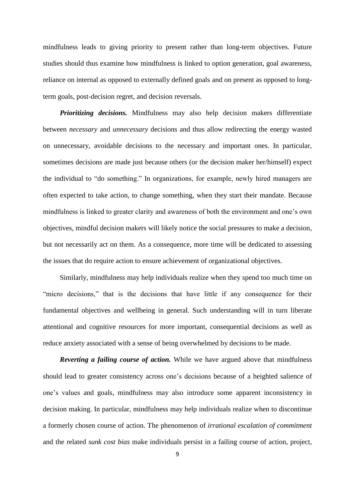mindfulness leads to giving priority to present rather than long-term objectives. Future studies should thus examine how mindfulness is linked to option generation, goal awareness, reliance on internal as opposed to externally defined goals and on present as opposed to longterm goals, post-decision regret, and decision reversals.

*Prioritizing decisions.* Mindfulness may also help decision makers differentiate between *necessary* and *unnecessary* decisions and thus allow redirecting the energy wasted on unnecessary, avoidable decisions to the necessary and important ones. In particular, sometimes decisions are made just because others (or the decision maker her/himself) expect the individual to "do something." In organizations, for example, newly hired managers are often expected to take action, to change something, when they start their mandate. Because mindfulness is linked to greater clarity and awareness of both the environment and one's own objectives, mindful decision makers will likely notice the social pressures to make a decision, but not necessarily act on them. As a consequence, more time will be dedicated to assessing the issues that do require action to ensure achievement of organizational objectives.

Similarly, mindfulness may help individuals realize when they spend too much time on "micro decisions," that is the decisions that have little if any consequence for their fundamental objectives and wellbeing in general. Such understanding will in turn liberate attentional and cognitive resources for more important, consequential decisions as well as reduce anxiety associated with a sense of being overwhelmed by decisions to be made.

*Reverting a failing course of action.* While we have argued above that mindfulness should lead to greater consistency across one's decisions because of a heighted salience of one's values and goals, mindfulness may also introduce some apparent inconsistency in decision making. In particular, mindfulness may help individuals realize when to discontinue a formerly chosen course of action. The phenomenon of *irrational escalation of commitment* and the related *sunk cost bias* make individuals persist in a failing course of action, project,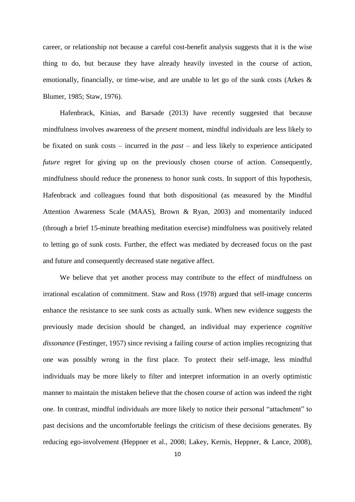career, or relationship not because a careful cost-benefit analysis suggests that it is the wise thing to do, but because they have already heavily invested in the course of action, emotionally, financially, or time-wise, and are unable to let go of the sunk costs (Arkes & Blumer, 1985; Staw, 1976).

Hafenbrack, Kinias, and Barsade (2013) have recently suggested that because mindfulness involves awareness of the *present* moment, mindful individuals are less likely to be fixated on sunk costs – incurred in the *past –* and less likely to experience anticipated *future* regret for giving up on the previously chosen course of action. Consequently, mindfulness should reduce the proneness to honor sunk costs. In support of this hypothesis, Hafenbrack and colleagues found that both dispositional (as measured by the Mindful Attention Awareness Scale (MAAS), Brown & Ryan, 2003) and momentarily induced (through a brief 15-minute breathing meditation exercise) mindfulness was positively related to letting go of sunk costs. Further, the effect was mediated by decreased focus on the past and future and consequently decreased state negative affect.

We believe that yet another process may contribute to the effect of mindfulness on irrational escalation of commitment. Staw and Ross (1978) argued that self-image concerns enhance the resistance to see sunk costs as actually sunk. When new evidence suggests the previously made decision should be changed, an individual may experience *cognitive dissonance* (Festinger, 1957) since revising a failing course of action implies recognizing that one was possibly wrong in the first place. To protect their self-image, less mindful individuals may be more likely to filter and interpret information in an overly optimistic manner to maintain the mistaken believe that the chosen course of action was indeed the right one. In contrast, mindful individuals are more likely to notice their personal "attachment" to past decisions and the uncomfortable feelings the criticism of these decisions generates. By reducing ego-involvement (Heppner et al., 2008; Lakey, Kernis, Heppner, & Lance, 2008),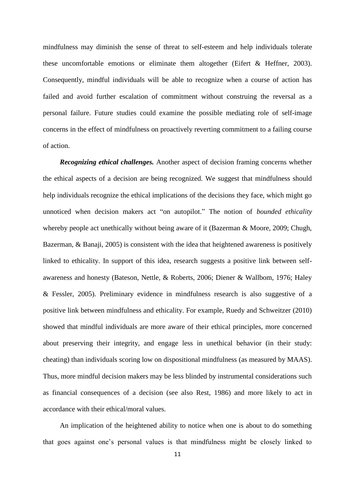mindfulness may diminish the sense of threat to self-esteem and help individuals tolerate these uncomfortable emotions or eliminate them altogether (Eifert & Heffner, 2003). Consequently, mindful individuals will be able to recognize when a course of action has failed and avoid further escalation of commitment without construing the reversal as a personal failure. Future studies could examine the possible mediating role of self-image concerns in the effect of mindfulness on proactively reverting commitment to a failing course of action.

*Recognizing ethical challenges.* Another aspect of decision framing concerns whether the ethical aspects of a decision are being recognized. We suggest that mindfulness should help individuals recognize the ethical implications of the decisions they face, which might go unnoticed when decision makers act "on autopilot." The notion of *bounded ethicality*  whereby people act unethically without being aware of it (Bazerman & Moore, 2009; Chugh, Bazerman, & Banaji, 2005) is consistent with the idea that heightened awareness is positively linked to ethicality. In support of this idea, research suggests a positive link between selfawareness and honesty (Bateson, Nettle, & Roberts, 2006; Diener & Wallbom, 1976; Haley & Fessler, 2005). Preliminary evidence in mindfulness research is also suggestive of a positive link between mindfulness and ethicality. For example, Ruedy and Schweitzer (2010) showed that mindful individuals are more aware of their ethical principles, more concerned about preserving their integrity, and engage less in unethical behavior (in their study: cheating) than individuals scoring low on dispositional mindfulness (as measured by MAAS). Thus, more mindful decision makers may be less blinded by instrumental considerations such as financial consequences of a decision (see also Rest, 1986) and more likely to act in accordance with their ethical/moral values.

An implication of the heightened ability to notice when one is about to do something that goes against one's personal values is that mindfulness might be closely linked to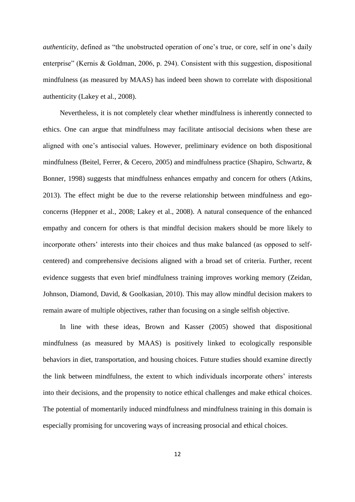*authenticity*, defined as "the unobstructed operation of one's true, or core, self in one's daily enterprise" (Kernis & Goldman, 2006, p. 294). Consistent with this suggestion, dispositional mindfulness (as measured by MAAS) has indeed been shown to correlate with dispositional authenticity (Lakey et al., 2008).

Nevertheless, it is not completely clear whether mindfulness is inherently connected to ethics. One can argue that mindfulness may facilitate antisocial decisions when these are aligned with one's antisocial values. However, preliminary evidence on both dispositional mindfulness (Beitel, Ferrer, & Cecero, 2005) and mindfulness practice (Shapiro, Schwartz, & Bonner, 1998) suggests that mindfulness enhances empathy and concern for others (Atkins, 2013). The effect might be due to the reverse relationship between mindfulness and egoconcerns (Heppner et al., 2008; Lakey et al., 2008). A natural consequence of the enhanced empathy and concern for others is that mindful decision makers should be more likely to incorporate others' interests into their choices and thus make balanced (as opposed to selfcentered) and comprehensive decisions aligned with a broad set of criteria. Further, recent evidence suggests that even brief mindfulness training improves working memory (Zeidan, Johnson, Diamond, David, & Goolkasian, 2010). This may allow mindful decision makers to remain aware of multiple objectives, rather than focusing on a single selfish objective.

In line with these ideas, Brown and Kasser (2005) showed that dispositional mindfulness (as measured by MAAS) is positively linked to ecologically responsible behaviors in diet, transportation, and housing choices. Future studies should examine directly the link between mindfulness, the extent to which individuals incorporate others' interests into their decisions, and the propensity to notice ethical challenges and make ethical choices. The potential of momentarily induced mindfulness and mindfulness training in this domain is especially promising for uncovering ways of increasing prosocial and ethical choices.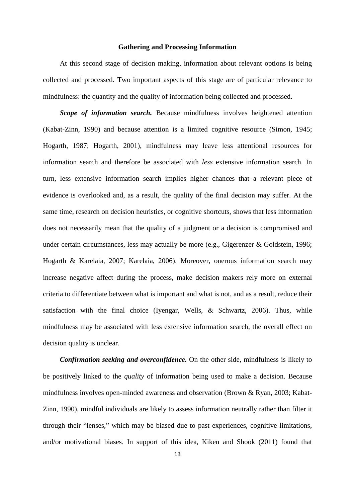#### **Gathering and Processing Information**

At this second stage of decision making, information about relevant options is being collected and processed. Two important aspects of this stage are of particular relevance to mindfulness: the quantity and the quality of information being collected and processed.

*Scope of information search.* Because mindfulness involves heightened attention (Kabat-Zinn, 1990) and because attention is a limited cognitive resource (Simon, 1945; Hogarth, 1987; Hogarth, 2001), mindfulness may leave less attentional resources for information search and therefore be associated with *less* extensive information search. In turn, less extensive information search implies higher chances that a relevant piece of evidence is overlooked and, as a result, the quality of the final decision may suffer. At the same time, research on decision heuristics, or cognitive shortcuts, shows that less information does not necessarily mean that the quality of a judgment or a decision is compromised and under certain circumstances, less may actually be more (e.g., Gigerenzer & Goldstein, 1996; Hogarth & Karelaia, 2007; Karelaia, 2006). Moreover, onerous information search may increase negative affect during the process, make decision makers rely more on external criteria to differentiate between what is important and what is not, and as a result, reduce their satisfaction with the final choice (Iyengar, Wells, & Schwartz, 2006). Thus, while mindfulness may be associated with less extensive information search, the overall effect on decision quality is unclear.

*Confirmation seeking and overconfidence.* On the other side, mindfulness is likely to be positively linked to the *quality* of information being used to make a decision. Because mindfulness involves open-minded awareness and observation (Brown & Ryan, 2003; Kabat-Zinn, 1990), mindful individuals are likely to assess information neutrally rather than filter it through their "lenses," which may be biased due to past experiences, cognitive limitations, and/or motivational biases. In support of this idea, Kiken and Shook (2011) found that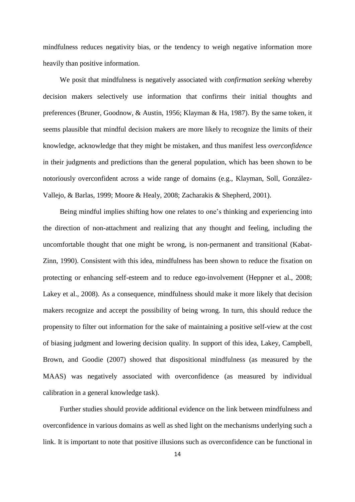mindfulness reduces negativity bias, or the tendency to weigh negative information more heavily than positive information.

We posit that mindfulness is negatively associated with *confirmation seeking* whereby decision makers selectively use information that confirms their initial thoughts and preferences (Bruner, Goodnow, & Austin, 1956; Klayman & Ha, 1987). By the same token, it seems plausible that mindful decision makers are more likely to recognize the limits of their knowledge, acknowledge that they might be mistaken, and thus manifest less *overconfidence* in their judgments and predictions than the general population, which has been shown to be notoriously overconfident across a wide range of domains (e.g., Klayman, Soll, González-Vallejo, & Barlas, 1999; Moore & Healy, 2008; Zacharakis & Shepherd, 2001).

Being mindful implies shifting how one relates to one's thinking and experiencing into the direction of non-attachment and realizing that any thought and feeling, including the uncomfortable thought that one might be wrong, is non-permanent and transitional (Kabat-Zinn, 1990). Consistent with this idea, mindfulness has been shown to reduce the fixation on protecting or enhancing self-esteem and to reduce ego-involvement (Heppner et al., 2008; Lakey et al., 2008). As a consequence, mindfulness should make it more likely that decision makers recognize and accept the possibility of being wrong. In turn, this should reduce the propensity to filter out information for the sake of maintaining a positive self-view at the cost of biasing judgment and lowering decision quality. In support of this idea, Lakey, Campbell, Brown, and Goodie (2007) showed that dispositional mindfulness (as measured by the MAAS) was negatively associated with overconfidence (as measured by individual calibration in a general knowledge task).

Further studies should provide additional evidence on the link between mindfulness and overconfidence in various domains as well as shed light on the mechanisms underlying such a link. It is important to note that positive illusions such as overconfidence can be functional in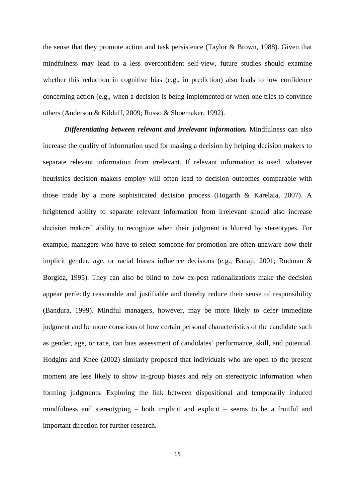the sense that they promote action and task persistence (Taylor & Brown, 1988). Given that mindfulness may lead to a less overconfident self-view, future studies should examine whether this reduction in cognitive bias (e.g., in prediction) also leads to low confidence concerning action (e.g., when a decision is being implemented or when one tries to convince others (Anderson & Kilduff, 2009; Russo & Shoemaker, 1992).

*Differentiating between relevant and irrelevant information.* Mindfulness can also increase the quality of information used for making a decision by helping decision makers to separate relevant information from irrelevant. If relevant information is used, whatever heuristics decision makers employ will often lead to decision outcomes comparable with those made by a more sophisticated decision process (Hogarth & Karelaia, 2007). A heightened ability to separate relevant information from irrelevant should also increase decision makers' ability to recognize when their judgment is blurred by stereotypes. For example, managers who have to select someone for promotion are often unaware how their implicit gender, age, or racial biases influence decisions (e.g., Banaji, 2001; Rudman & Borgida, 1995). They can also be blind to how ex-post rationalizations make the decision appear perfectly reasonable and justifiable and thereby reduce their sense of responsibility (Bandura, 1999). Mindful managers, however, may be more likely to defer immediate judgment and be more conscious of how certain personal characteristics of the candidate such as gender, age, or race, can bias assessment of candidates' performance, skill, and potential. Hodgins and Knee (2002) similarly proposed that individuals who are open to the present moment are less likely to show in-group biases and rely on stereotypic information when forming judgments. Exploring the link between dispositional and temporarily induced mindfulness and stereotyping – both implicit and explicit – seems to be a fruitful and important direction for further research.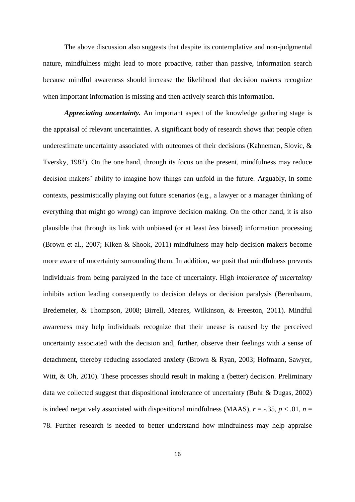The above discussion also suggests that despite its contemplative and non-judgmental nature, mindfulness might lead to more proactive, rather than passive, information search because mindful awareness should increase the likelihood that decision makers recognize when important information is missing and then actively search this information.

*Appreciating uncertainty.* An important aspect of the knowledge gathering stage is the appraisal of relevant uncertainties. A significant body of research shows that people often underestimate uncertainty associated with outcomes of their decisions (Kahneman, Slovic, & Tversky, 1982). On the one hand, through its focus on the present, mindfulness may reduce decision makers' ability to imagine how things can unfold in the future. Arguably, in some contexts, pessimistically playing out future scenarios (e.g., a lawyer or a manager thinking of everything that might go wrong) can improve decision making. On the other hand, it is also plausible that through its link with unbiased (or at least *less* biased) information processing (Brown et al., 2007; Kiken & Shook, 2011) mindfulness may help decision makers become more aware of uncertainty surrounding them. In addition, we posit that mindfulness prevents individuals from being paralyzed in the face of uncertainty. High *intolerance of uncertainty*  inhibits action leading consequently to decision delays or decision paralysis (Berenbaum, Bredemeier, & Thompson, 2008; Birrell, Meares, Wilkinson, & Freeston, 2011). Mindful awareness may help individuals recognize that their unease is caused by the perceived uncertainty associated with the decision and, further, observe their feelings with a sense of detachment, thereby reducing associated anxiety (Brown & Ryan, 2003; Hofmann, Sawyer, Witt, & Oh, 2010). These processes should result in making a (better) decision. Preliminary data we collected suggest that dispositional intolerance of uncertainty (Buhr & Dugas, 2002) is indeed negatively associated with dispositional mindfulness (MAAS),  $r = -0.35$ ,  $p < 0.01$ ,  $n =$ 78. Further research is needed to better understand how mindfulness may help appraise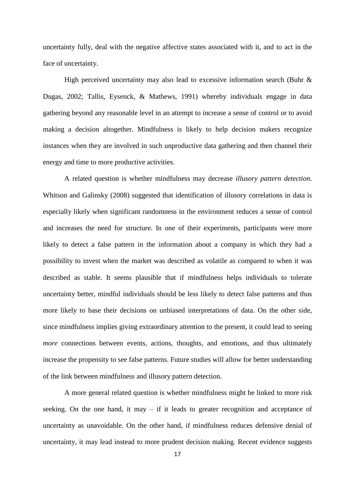uncertainty fully, deal with the negative affective states associated with it, and to act in the face of uncertainty.

High perceived uncertainty may also lead to excessive information search (Buhr & Dugas, 2002; Tallis, Eysenck, & Mathews, 1991) whereby individuals engage in data gathering beyond any reasonable level in an attempt to increase a sense of control or to avoid making a decision altogether. Mindfulness is likely to help decision makers recognize instances when they are involved in such unproductive data gathering and then channel their energy and time to more productive activities.

A related question is whether mindfulness may decrease *illusory pattern detection*. Whitson and Galinsky (2008) suggested that identification of illusory correlations in data is especially likely when significant randomness in the environment reduces a sense of control and increases the need for structure. In one of their experiments, participants were more likely to detect a false pattern in the information about a company in which they had a possibility to invest when the market was described as volatile as compared to when it was described as stable. It seems plausible that if mindfulness helps individuals to tolerate uncertainty better, mindful individuals should be less likely to detect false patterns and thus more likely to base their decisions on unbiased interpretations of data. On the other side, since mindfulness implies giving extraordinary attention to the present, it could lead to seeing *more* connections between events, actions, thoughts, and emotions, and thus ultimately increase the propensity to see false patterns. Future studies will allow for better understanding of the link between mindfulness and illusory pattern detection.

A more general related question is whether mindfulness might be linked to more risk seeking. On the one hand, it may  $-$  if it leads to greater recognition and acceptance of uncertainty as unavoidable. On the other hand, if mindfulness reduces defensive denial of uncertainty, it may lead instead to more prudent decision making. Recent evidence suggests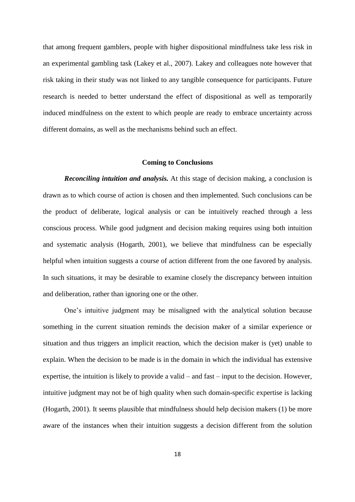that among frequent gamblers, people with higher dispositional mindfulness take less risk in an experimental gambling task (Lakey et al., 2007). Lakey and colleagues note however that risk taking in their study was not linked to any tangible consequence for participants. Future research is needed to better understand the effect of dispositional as well as temporarily induced mindfulness on the extent to which people are ready to embrace uncertainty across different domains, as well as the mechanisms behind such an effect.

#### **Coming to Conclusions**

*Reconciling intuition and analysis.* At this stage of decision making, a conclusion is drawn as to which course of action is chosen and then implemented. Such conclusions can be the product of deliberate, logical analysis or can be intuitively reached through a less conscious process. While good judgment and decision making requires using both intuition and systematic analysis (Hogarth, 2001), we believe that mindfulness can be especially helpful when intuition suggests a course of action different from the one favored by analysis. In such situations, it may be desirable to examine closely the discrepancy between intuition and deliberation, rather than ignoring one or the other.

One's intuitive judgment may be misaligned with the analytical solution because something in the current situation reminds the decision maker of a similar experience or situation and thus triggers an implicit reaction, which the decision maker is (yet) unable to explain. When the decision to be made is in the domain in which the individual has extensive expertise, the intuition is likely to provide a valid – and fast – input to the decision. However, intuitive judgment may not be of high quality when such domain-specific expertise is lacking (Hogarth, 2001). It seems plausible that mindfulness should help decision makers (1) be more aware of the instances when their intuition suggests a decision different from the solution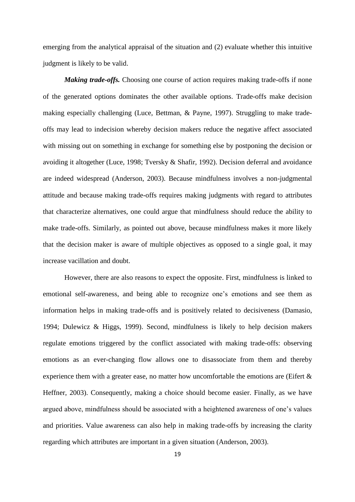emerging from the analytical appraisal of the situation and (2) evaluate whether this intuitive judgment is likely to be valid.

*Making trade-offs.* Choosing one course of action requires making trade-offs if none of the generated options dominates the other available options. Trade-offs make decision making especially challenging (Luce, Bettman, & Payne, 1997). Struggling to make tradeoffs may lead to indecision whereby decision makers reduce the negative affect associated with missing out on something in exchange for something else by postponing the decision or avoiding it altogether (Luce, 1998; Tversky & Shafir, 1992). Decision deferral and avoidance are indeed widespread (Anderson, 2003). Because mindfulness involves a non-judgmental attitude and because making trade-offs requires making judgments with regard to attributes that characterize alternatives, one could argue that mindfulness should reduce the ability to make trade-offs. Similarly, as pointed out above, because mindfulness makes it more likely that the decision maker is aware of multiple objectives as opposed to a single goal, it may increase vacillation and doubt.

However, there are also reasons to expect the opposite. First, mindfulness is linked to emotional self-awareness, and being able to recognize one's emotions and see them as information helps in making trade-offs and is positively related to decisiveness (Damasio, 1994; Dulewicz & Higgs, 1999). Second, mindfulness is likely to help decision makers regulate emotions triggered by the conflict associated with making trade-offs: observing emotions as an ever-changing flow allows one to disassociate from them and thereby experience them with a greater ease, no matter how uncomfortable the emotions are (Eifert & Heffner, 2003). Consequently, making a choice should become easier. Finally, as we have argued above, mindfulness should be associated with a heightened awareness of one's values and priorities. Value awareness can also help in making trade-offs by increasing the clarity regarding which attributes are important in a given situation (Anderson, 2003).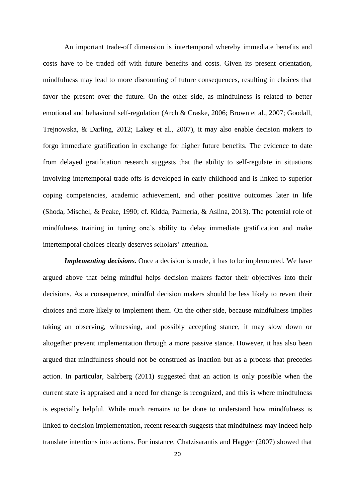An important trade-off dimension is intertemporal whereby immediate benefits and costs have to be traded off with future benefits and costs. Given its present orientation, mindfulness may lead to more discounting of future consequences, resulting in choices that favor the present over the future. On the other side, as mindfulness is related to better emotional and behavioral self-regulation (Arch & Craske, 2006; Brown et al., 2007; Goodall, Trejnowska, & Darling, 2012; Lakey et al., 2007), it may also enable decision makers to forgo immediate gratification in exchange for higher future benefits. The evidence to date from delayed gratification research suggests that the ability to self-regulate in situations involving intertemporal trade-offs is developed in early childhood and is linked to superior coping competencies, academic achievement, and other positive outcomes later in life (Shoda, Mischel, & Peake, 1990; cf. Kidda, Palmeria, & Aslina, 2013). The potential role of mindfulness training in tuning one's ability to delay immediate gratification and make intertemporal choices clearly deserves scholars' attention.

*Implementing decisions.* Once a decision is made, it has to be implemented. We have argued above that being mindful helps decision makers factor their objectives into their decisions. As a consequence, mindful decision makers should be less likely to revert their choices and more likely to implement them. On the other side, because mindfulness implies taking an observing, witnessing, and possibly accepting stance, it may slow down or altogether prevent implementation through a more passive stance. However, it has also been argued that mindfulness should not be construed as inaction but as a process that precedes action. In particular, Salzberg (2011) suggested that an action is only possible when the current state is appraised and a need for change is recognized, and this is where mindfulness is especially helpful. While much remains to be done to understand how mindfulness is linked to decision implementation, recent research suggests that mindfulness may indeed help translate intentions into actions. For instance, Chatzisarantis and Hagger (2007) showed that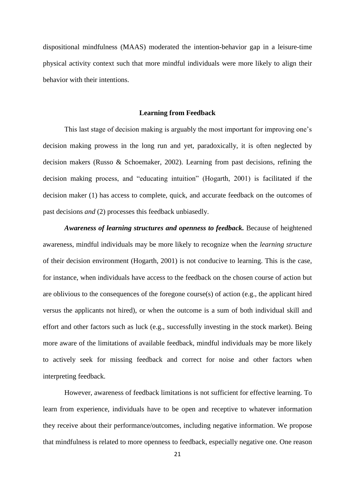dispositional mindfulness (MAAS) moderated the intention-behavior gap in a leisure-time physical activity context such that more mindful individuals were more likely to align their behavior with their intentions.

#### **Learning from Feedback**

This last stage of decision making is arguably the most important for improving one's decision making prowess in the long run and yet, paradoxically, it is often neglected by decision makers (Russo & Schoemaker, 2002). Learning from past decisions, refining the decision making process, and "educating intuition" (Hogarth, 2001) is facilitated if the decision maker (1) has access to complete, quick, and accurate feedback on the outcomes of past decisions *and* (2) processes this feedback unbiasedly.

*Awareness of learning structures and openness to feedback.* Because of heightened awareness, mindful individuals may be more likely to recognize when the *learning structure*  of their decision environment (Hogarth, 2001) is not conducive to learning. This is the case, for instance, when individuals have access to the feedback on the chosen course of action but are oblivious to the consequences of the foregone course(s) of action (e.g., the applicant hired versus the applicants not hired), or when the outcome is a sum of both individual skill and effort and other factors such as luck (e.g., successfully investing in the stock market). Being more aware of the limitations of available feedback, mindful individuals may be more likely to actively seek for missing feedback and correct for noise and other factors when interpreting feedback.

However, awareness of feedback limitations is not sufficient for effective learning. To learn from experience, individuals have to be open and receptive to whatever information they receive about their performance/outcomes, including negative information. We propose that mindfulness is related to more openness to feedback, especially negative one. One reason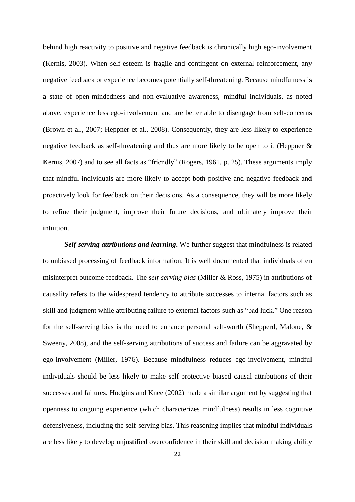behind high reactivity to positive and negative feedback is chronically high ego-involvement (Kernis, 2003). When self-esteem is fragile and contingent on external reinforcement, any negative feedback or experience becomes potentially self-threatening. Because mindfulness is a state of open-mindedness and non-evaluative awareness, mindful individuals, as noted above, experience less ego-involvement and are better able to disengage from self-concerns (Brown et al., 2007; Heppner et al., 2008). Consequently, they are less likely to experience negative feedback as self-threatening and thus are more likely to be open to it (Heppner & Kernis, 2007) and to see all facts as "friendly" (Rogers, 1961, p. 25). These arguments imply that mindful individuals are more likely to accept both positive and negative feedback and proactively look for feedback on their decisions. As a consequence, they will be more likely to refine their judgment, improve their future decisions, and ultimately improve their intuition.

*Self-serving attributions and learning***.** We further suggest that mindfulness is related to unbiased processing of feedback information. It is well documented that individuals often misinterpret outcome feedback. The *self-serving bias* (Miller & Ross, 1975) in attributions of causality refers to the widespread tendency to attribute successes to internal factors such as skill and judgment while attributing failure to external factors such as "bad luck." One reason for the self-serving bias is the need to enhance personal self-worth (Shepperd, Malone, & Sweeny, 2008), and the self-serving attributions of success and failure can be aggravated by ego-involvement (Miller, 1976). Because mindfulness reduces ego-involvement, mindful individuals should be less likely to make self-protective biased causal attributions of their successes and failures. Hodgins and Knee (2002) made a similar argument by suggesting that openness to ongoing experience (which characterizes mindfulness) results in less cognitive defensiveness, including the self-serving bias. This reasoning implies that mindful individuals are less likely to develop unjustified overconfidence in their skill and decision making ability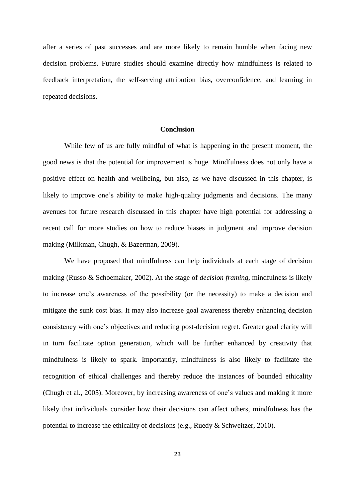after a series of past successes and are more likely to remain humble when facing new decision problems. Future studies should examine directly how mindfulness is related to feedback interpretation, the self-serving attribution bias, overconfidence, and learning in repeated decisions.

#### **Conclusion**

While few of us are fully mindful of what is happening in the present moment, the good news is that the potential for improvement is huge. Mindfulness does not only have a positive effect on health and wellbeing, but also, as we have discussed in this chapter, is likely to improve one's ability to make high-quality judgments and decisions. The many avenues for future research discussed in this chapter have high potential for addressing a recent call for more studies on how to reduce biases in judgment and improve decision making (Milkman, Chugh, & Bazerman, 2009).

We have proposed that mindfulness can help individuals at each stage of decision making (Russo & Schoemaker, 2002). At the stage of *decision framing*, mindfulness is likely to increase one's awareness of the possibility (or the necessity) to make a decision and mitigate the sunk cost bias. It may also increase goal awareness thereby enhancing decision consistency with one's objectives and reducing post-decision regret. Greater goal clarity will in turn facilitate option generation, which will be further enhanced by creativity that mindfulness is likely to spark. Importantly, mindfulness is also likely to facilitate the recognition of ethical challenges and thereby reduce the instances of bounded ethicality (Chugh et al., 2005). Moreover, by increasing awareness of one's values and making it more likely that individuals consider how their decisions can affect others, mindfulness has the potential to increase the ethicality of decisions (e.g., Ruedy & Schweitzer, 2010).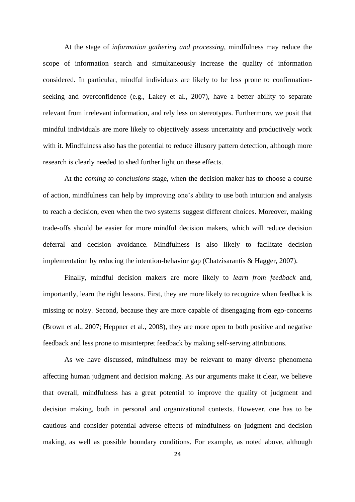At the stage of *information gathering and processing*, mindfulness may reduce the scope of information search and simultaneously increase the quality of information considered. In particular, mindful individuals are likely to be less prone to confirmationseeking and overconfidence (e.g., Lakey et al., 2007), have a better ability to separate relevant from irrelevant information, and rely less on stereotypes. Furthermore, we posit that mindful individuals are more likely to objectively assess uncertainty and productively work with it. Mindfulness also has the potential to reduce illusory pattern detection, although more research is clearly needed to shed further light on these effects.

At the *coming to conclusions* stage, when the decision maker has to choose a course of action, mindfulness can help by improving one's ability to use both intuition and analysis to reach a decision, even when the two systems suggest different choices. Moreover, making trade-offs should be easier for more mindful decision makers, which will reduce decision deferral and decision avoidance. Mindfulness is also likely to facilitate decision implementation by reducing the intention-behavior gap (Chatzisarantis & Hagger, 2007).

Finally, mindful decision makers are more likely to *learn from feedback* and, importantly, learn the right lessons. First, they are more likely to recognize when feedback is missing or noisy. Second, because they are more capable of disengaging from ego-concerns (Brown et al., 2007; Heppner et al., 2008), they are more open to both positive and negative feedback and less prone to misinterpret feedback by making self-serving attributions.

As we have discussed, mindfulness may be relevant to many diverse phenomena affecting human judgment and decision making. As our arguments make it clear, we believe that overall, mindfulness has a great potential to improve the quality of judgment and decision making, both in personal and organizational contexts. However, one has to be cautious and consider potential adverse effects of mindfulness on judgment and decision making, as well as possible boundary conditions. For example, as noted above, although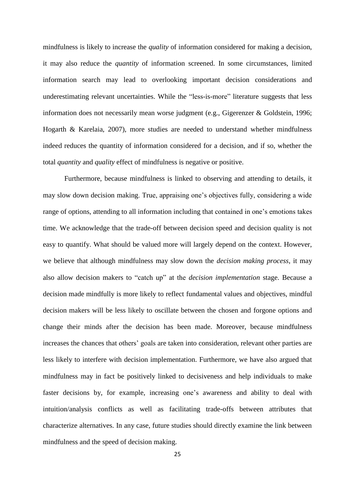mindfulness is likely to increase the *quality* of information considered for making a decision, it may also reduce the *quantity* of information screened. In some circumstances, limited information search may lead to overlooking important decision considerations and underestimating relevant uncertainties. While the "less-is-more" literature suggests that less information does not necessarily mean worse judgment (e.g., Gigerenzer & Goldstein, 1996; Hogarth & Karelaia, 2007), more studies are needed to understand whether mindfulness indeed reduces the quantity of information considered for a decision, and if so, whether the total *quantity* and *quality* effect of mindfulness is negative or positive.

Furthermore, because mindfulness is linked to observing and attending to details, it may slow down decision making. True, appraising one's objectives fully, considering a wide range of options, attending to all information including that contained in one's emotions takes time. We acknowledge that the trade-off between decision speed and decision quality is not easy to quantify. What should be valued more will largely depend on the context. However, we believe that although mindfulness may slow down the *decision making process*, it may also allow decision makers to "catch up" at the *decision implementation* stage. Because a decision made mindfully is more likely to reflect fundamental values and objectives, mindful decision makers will be less likely to oscillate between the chosen and forgone options and change their minds after the decision has been made. Moreover, because mindfulness increases the chances that others' goals are taken into consideration, relevant other parties are less likely to interfere with decision implementation. Furthermore, we have also argued that mindfulness may in fact be positively linked to decisiveness and help individuals to make faster decisions by, for example, increasing one's awareness and ability to deal with intuition/analysis conflicts as well as facilitating trade-offs between attributes that characterize alternatives. In any case, future studies should directly examine the link between mindfulness and the speed of decision making.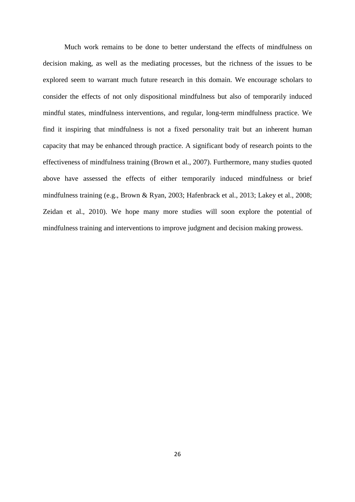Much work remains to be done to better understand the effects of mindfulness on decision making, as well as the mediating processes, but the richness of the issues to be explored seem to warrant much future research in this domain. We encourage scholars to consider the effects of not only dispositional mindfulness but also of temporarily induced mindful states, mindfulness interventions, and regular, long-term mindfulness practice. We find it inspiring that mindfulness is not a fixed personality trait but an inherent human capacity that may be enhanced through practice. A significant body of research points to the effectiveness of mindfulness training (Brown et al., 2007). Furthermore, many studies quoted above have assessed the effects of either temporarily induced mindfulness or brief mindfulness training (e.g., Brown & Ryan, 2003; Hafenbrack et al., 2013; Lakey et al., 2008; Zeidan et al., 2010). We hope many more studies will soon explore the potential of mindfulness training and interventions to improve judgment and decision making prowess.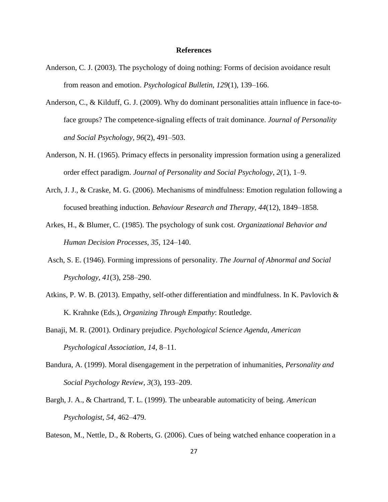#### **References**

- Anderson, C. J. (2003). The psychology of doing nothing: Forms of decision avoidance result from reason and emotion. *Psychological Bulletin, 129*(1), 139–166.
- Anderson, C., & Kilduff, G. J. (2009). Why do dominant personalities attain influence in face-toface groups? The competence-signaling effects of trait dominance. *Journal of Personality and Social Psychology, 96*(2), 491–503.
- Anderson, N. H. (1965). Primacy effects in personality impression formation using a generalized order effect paradigm. *Journal of Personality and Social Psychology*, *2*(1), 1–9.
- Arch, J. J., & Craske, M. G. (2006). Mechanisms of mindfulness: Emotion regulation following a focused breathing induction. *Behaviour Research and Therapy, 44*(12), 1849–1858.
- Arkes, H., & Blumer, C. (1985). The psychology of sunk cost. *Organizational Behavior and Human Decision Processes, 35,* 124–140.
- Asch, S. E. (1946). Forming impressions of personality. *The Journal of Abnormal and Social Psychology*, *41*(3), 258–290.
- Atkins, P. W. B. (2013). Empathy, self-other differentiation and mindfulness. In K. Pavlovich & K. Krahnke (Eds.), *Organizing Through Empathy*: Routledge.
- Banaji, M. R. (2001). Ordinary prejudice. *Psychological Science Agenda, American Psychological Association*, *14*, 8–11.
- Bandura, A. (1999). Moral disengagement in the perpetration of inhumanities, *Personality and Social Psychology Review, 3*(3), 193–209.
- Bargh, J. A., & Chartrand, T. L. (1999). The unbearable automaticity of being. *American Psychologist*, *54*, 462–479.

Bateson, M., Nettle, D., & Roberts, G. (2006). Cues of being watched enhance cooperation in a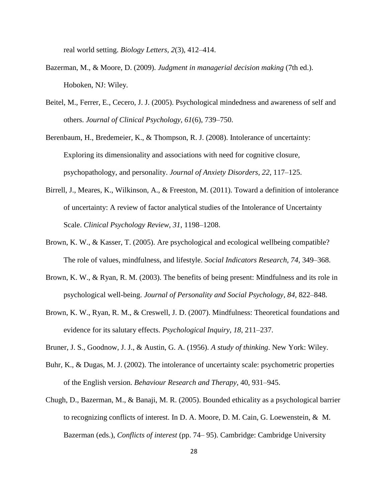real world setting. *Biology Letters, 2*(3), 412–414.

- Bazerman, M., & Moore, D. (2009). *Judgment in managerial decision making* (7th ed.). Hoboken, NJ: Wiley.
- Beitel, M., Ferrer, E., Cecero, J. J. (2005). Psychological mindedness and awareness of self and others. *Journal of Clinical Psychology, 61*(6), 739–750.

Berenbaum, H., Bredemeier, K., & Thompson, R. J. (2008). Intolerance of uncertainty: Exploring its dimensionality and associations with need for cognitive closure, psychopathology, and personality. *Journal of Anxiety Disorders, 22*, 117–125.

- Birrell, J., Meares, K., Wilkinson, A., & Freeston, M. (2011). Toward a definition of intolerance of uncertainty: A review of factor analytical studies of the Intolerance of Uncertainty Scale. *Clinical Psychology Review, 31*, 1198–1208.
- Brown, K. W., & Kasser, T. (2005). Are psychological and ecological wellbeing compatible? The role of values, mindfulness, and lifestyle. *Social Indicators Research, 74*, 349–368.
- Brown, K. W., & Ryan, R. M. (2003). The benefits of being present: Mindfulness and its role in psychological well-being. *Journal of Personality and Social Psychology, 84,* 822–848.
- Brown, K. W., Ryan, R. M., & Creswell, J. D. (2007). Mindfulness: Theoretical foundations and evidence for its salutary effects. *Psychological Inquiry, 18*, 211–237.
- Bruner, J. S., Goodnow, J. J., & Austin, G. A. (1956). *A study of thinking*. New York: Wiley.
- Buhr, K., & Dugas, M. J. (2002). The intolerance of uncertainty scale: psychometric properties of the English version. *Behaviour Research and Therapy,* 40, 931–945.
- Chugh, D., Bazerman, M., & Banaji, M. R. (2005). Bounded ethicality as a psychological barrier to recognizing conflicts of interest. In D. A. Moore, D. M. Cain, G. Loewenstein, & M. Bazerman (eds.), *Conflicts of interest* (pp. 74– 95). Cambridge: Cambridge University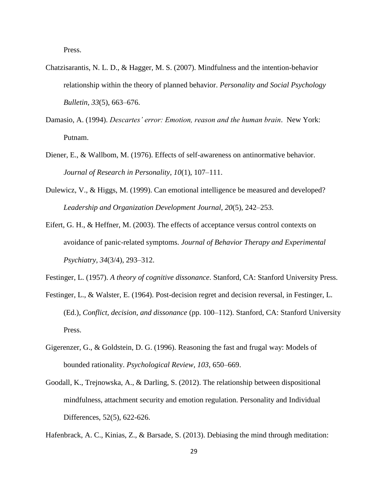Press.

- Chatzisarantis, N. L. D., & Hagger, M. S. (2007). Mindfulness and the intention-behavior relationship within the theory of planned behavior. *Personality and Social Psychology Bulletin, 33*(5), 663–676.
- Damasio, A. (1994). *Descartes' error: Emotion, reason and the human brain*. New York: Putnam.
- Diener, E., & Wallbom, M. (1976). Effects of self-awareness on antinormative behavior. *Journal of Research in Personality, 10*(1), 107–111.
- Dulewicz, V., & Higgs, M. (1999). Can emotional intelligence be measured and developed? *Leadership and Organization Development Journal, 20*(5), 242–253.
- Eifert, G. H., & Heffner, M. (2003). The effects of acceptance versus control contexts on avoidance of panic-related symptoms. *Journal of Behavior Therapy and Experimental Psychiatry, 34*(3/4), 293–312.

Festinger, L. (1957). *A theory of cognitive dissonance*. Stanford, CA: Stanford University Press.

- Festinger, L., & Walster, E. (1964). Post-decision regret and decision reversal, in Festinger, L. (Ed.), *Conflict, decision, and dissonance* (pp. 100–112). Stanford, CA: Stanford University Press.
- Gigerenzer, G., & Goldstein, D. G. (1996). Reasoning the fast and frugal way: Models of bounded rationality. *Psychological Review, 103*, 650–669.
- Goodall, K., Trejnowska, A., & Darling, S. (2012). The relationship between dispositional mindfulness, attachment security and emotion regulation. Personality and Individual Differences, 52(5), 622-626.

Hafenbrack, A. C., Kinias, Z., & Barsade, S. (2013). Debiasing the mind through meditation: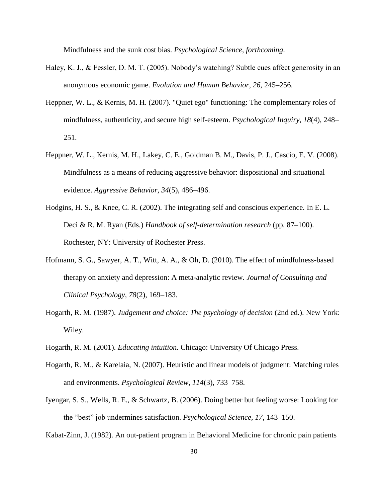Mindfulness and the sunk cost bias. *Psychological Science*, *forthcoming*.

- Haley, K. J., & Fessler, D. M. T. (2005). Nobody's watching? Subtle cues affect generosity in an anonymous economic game. *Evolution and Human Behavior, 26*, 245–256.
- Heppner, W. L., & Kernis, M. H. (2007). "Quiet ego" functioning: The complementary roles of mindfulness, authenticity, and secure high self-esteem. *Psychological Inquiry, 18*(4), 248– 251.
- Heppner, W. L., Kernis, M. H., Lakey, C. E., Goldman B. M., Davis, P. J., Cascio, E. V. (2008). Mindfulness as a means of reducing aggressive behavior: dispositional and situational evidence. *Aggressive Behavior, 34*(5), 486–496.
- Hodgins, H. S., & Knee, C. R. (2002). The integrating self and conscious experience. In E. L. Deci & R. M. Ryan (Eds.) *Handbook of self-determination research* (pp. 87–100). Rochester, NY: University of Rochester Press.
- Hofmann, S. G., Sawyer, A. T., Witt, A. A., & Oh, D. (2010). The effect of mindfulness-based therapy on anxiety and depression: A meta-analytic review. *Journal of Consulting and Clinical Psychology, 78*(2), 169–183.
- Hogarth, R. M. (1987). *Judgement and choice: The psychology of decision* (2nd ed.). New York: Wiley.
- Hogarth, R. M. (2001). *Educating intuition.* Chicago: University Of Chicago Press.
- Hogarth, R. M., & Karelaia, N. (2007). Heuristic and linear models of judgment: Matching rules and environments. *Psychological Review, 114*(3), 733–758.
- Iyengar, S. S., Wells, R. E., & Schwartz, B. (2006). Doing better but feeling worse: Looking for the "best" job undermines satisfaction. *Psychological Science, 17*, 143–150.
- Kabat-Zinn, J. (1982). An out-patient program in Behavioral Medicine for chronic pain patients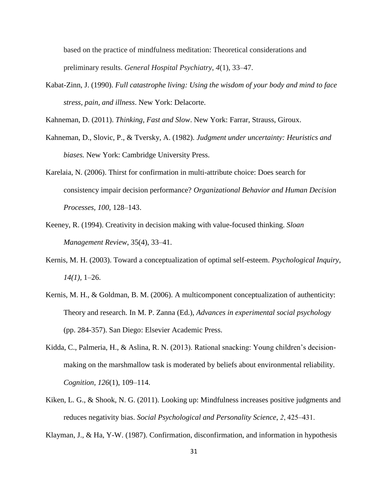based on the practice of mindfulness meditation: Theoretical considerations and preliminary results. *General Hospital Psychiatry*, *4*(1), 33–47.

Kabat-Zinn, J. (1990). *Full catastrophe living: Using the wisdom of your body and mind to face stress, pain, and illness*. New York: Delacorte.

Kahneman, D. (2011). *Thinking, Fast and Slow*. New York: Farrar, Strauss, Giroux.

- Kahneman, D., Slovic, P., & Tversky, A. (1982). *Judgment under uncertainty: Heuristics and biases.* New York: Cambridge University Press.
- Karelaia, N. (2006). Thirst for confirmation in multi-attribute choice: Does search for consistency impair decision performance? *Organizational Behavior and Human Decision Processes, 100*, 128–143.
- Keeney, R. (1994). Creativity in decision making with value-focused thinking. *Sloan Management Review*, 35(4), 33–41.
- Kernis, M. H. (2003). Toward a conceptualization of optimal self-esteem. *Psychological Inquiry, 14(1),* 1–26.
- Kernis, M. H., & Goldman, B. M. (2006). A multicomponent conceptualization of authenticity: Theory and research. In M. P. Zanna (Ed.), *Advances in experimental social psychology* (pp. 284-357). San Diego: Elsevier Academic Press.
- Kidda, C., Palmeria, H., & Aslina, R. N. (2013). Rational snacking: Young children's decisionmaking on the marshmallow task is moderated by beliefs about environmental reliability. *Cognition, 126*(1), 109–114.
- Kiken, L. G., & Shook, N. G. (2011). Looking up: Mindfulness increases positive judgments and reduces negativity bias. *Social Psychological and Personality Science*, *2*, 425–431.

Klayman, J., & Ha, Y-W. (1987). Confirmation, disconfirmation, and information in hypothesis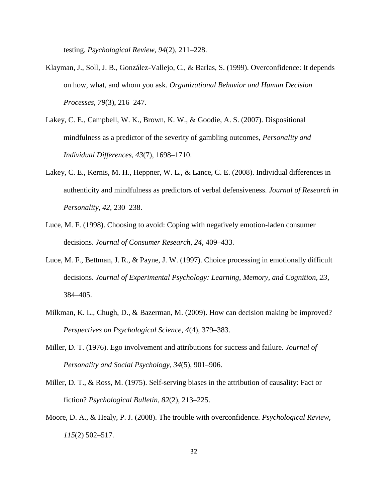testing. *Psychological Review, 94*(2), 211–228.

- Klayman, J., Soll, J. B., González-Vallejo, C., & Barlas, S. (1999). Overconfidence: It depends on how, what, and whom you ask. *Organizational Behavior and Human Decision Processes, 79*(3), 216–247.
- Lakey, C. E., Campbell, W. K., Brown, K. W., & Goodie, A. S. (2007). Dispositional mindfulness as a predictor of the severity of gambling outcomes, *Personality and Individual Differences, 43*(7), 1698–1710.
- Lakey, C. E., Kernis, M. H., Heppner, W. L., & Lance, C. E. (2008). Individual differences in authenticity and mindfulness as predictors of verbal defensiveness. *Journal of Research in Personality, 42*, 230–238.
- Luce, M. F. (1998). Choosing to avoid: Coping with negatively emotion-laden consumer decisions. *Journal of Consumer Research, 24*, 409–433.
- Luce, M. F., Bettman, J. R., & Payne, J. W. (1997). Choice processing in emotionally difficult decisions. *Journal of Experimental Psychology: Learning, Memory, and Cognition, 23*, 384–405.
- Milkman, K. L., Chugh, D., & Bazerman, M. (2009). How can decision making be improved? *Perspectives on Psychological Science, 4*(4), 379–383.
- Miller, D. T. (1976). Ego involvement and attributions for success and failure. *Journal of Personality and Social Psychology, 34*(5), 901–906.
- Miller, D. T., & Ross, M. (1975). Self-serving biases in the attribution of causality: Fact or fiction? *Psychological Bulletin, 82*(2), 213–225.
- Moore, D. A., & Healy, P. J. (2008). The trouble with overconfidence. *Psychological Review, 115*(2) 502–517.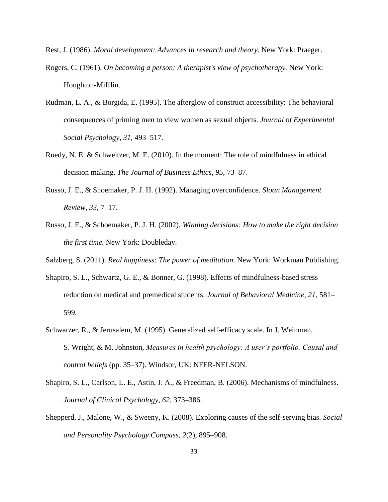Rest, J. (1986). *Moral development: Advances in research and theory*. New York: Praeger.

- Rogers, C. (1961). *On becoming a person: A therapist's view of psychotherapy.* New York: Houghton-Mifflin.
- Rudman, L. A., & Borgida, E. (1995). The afterglow of construct accessibility: The behavioral consequences of priming men to view women as sexual objects. *Journal of Experimental Social Psychology, 31*, 493–517.
- Ruedy, N. E. & Schweitzer, M. E. (2010). In the moment: The role of mindfulness in ethical decision making. *The Journal of Business Ethics*, *95*, 73–87.
- Russo, J. E., & Shoemaker, P. J. H. (1992). Managing overconfidence. *Sloan Management Review, 33*, 7–17.
- Russo, J. E., & Schoemaker, P. J. H. (2002). *Winning decisions: How to make the right decision the first time.* New York: Doubleday.
- Salzberg, S. (2011). *Real happiness: The power of meditation*. New York: Workman Publishing.
- Shapiro, S. L., Schwartz, G. E., & Bonner, G. (1998). Effects of mindfulness-based stress reduction on medical and premedical students. *Journal of Behavioral Medicine, 21*, 581– 599.
- Schwarzer, R., & Jerusalem, M. (1995). Generalized self-efficacy scale. In J. Weinman, S. Wright, & M. Johnston, *Measures in health psychology: A user's portfolio. Causal and control beliefs* (pp. 35–37). Windsor, UK: NFER-NELSON.
- Shapiro, S. L., Carlson, L. E., Astin, J. A., & Freedman, B. (2006). Mechanisms of mindfulness. *Journal of Clinical Psychology, 62*, 373–386.
- Shepperd, J., Malone, W., & Sweeny, K. (2008). Exploring causes of the self-serving bias. *Social and Personality Psychology Compass, 2*(2), 895–908.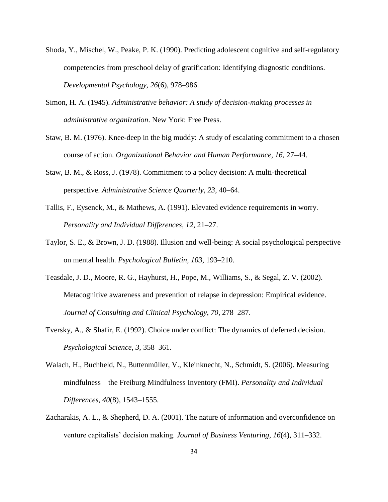- Shoda, Y., Mischel, W., Peake, P. K. (1990). Predicting adolescent cognitive and self-regulatory competencies from preschool delay of gratification: Identifying diagnostic conditions. *Developmental Psychology, 26*(6), 978–986.
- Simon, H. A. (1945). *Administrative behavior: A study of decision-making processes in administrative organization*. New York: Free Press.
- Staw, B. M. (1976). Knee-deep in the big muddy: A study of escalating commitment to a chosen course of action. *Organizational Behavior and Human Performance, 16,* 27–44.
- Staw, B. M., & Ross, J. (1978). Commitment to a policy decision: A multi-theoretical perspective. *Administrative Science Quarterly, 23*, 40–64.
- Tallis, F., Eysenck, M., & Mathews, A. (1991). Elevated evidence requirements in worry. *Personality and Individual Differences, 12*, 21–27.
- Taylor, S. E., & Brown, J. D. (1988). Illusion and well-being: A social psychological perspective on mental health. *Psychological Bulletin, 103*, 193–210.
- Teasdale, J. D., Moore, R. G., Hayhurst, H., Pope, M., Williams, S., & Segal, Z. V. (2002). Metacognitive awareness and prevention of relapse in depression: Empirical evidence. *Journal of Consulting and Clinical Psychology*, *70*, 278–287.
- Tversky, A., & Shafir, E. (1992). Choice under conflict: The dynamics of deferred decision. *Psychological Science*, *3*, 358–361.
- Walach, H., Buchheld, N., Buttenmüller, V., Kleinknecht, N., Schmidt, S. (2006). Measuring mindfulness – the Freiburg Mindfulness Inventory (FMI). *Personality and Individual Differences*, *40*(8), 1543–1555.
- Zacharakis, A. L., & Shepherd, D. A. (2001). The nature of information and overconfidence on venture capitalists' decision making. *Journal of Business Venturing*, *16*(4), 311–332.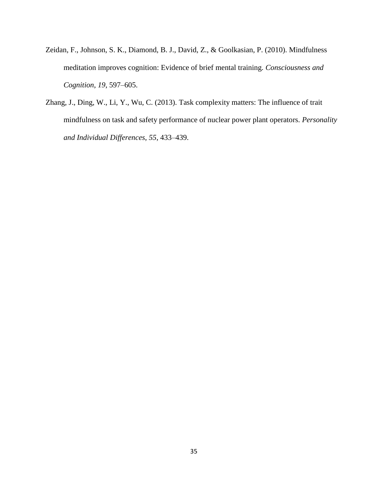- Zeidan, F., Johnson, S. K., Diamond, B. J., David, Z., & Goolkasian, P. (2010). Mindfulness meditation improves cognition: Evidence of brief mental training. *Consciousness and Cognition*, *19*, 597–605.
- Zhang, J., Ding, W., Li, Y., Wu, C. (2013). Task complexity matters: The influence of trait mindfulness on task and safety performance of nuclear power plant operators. *Personality and Individual Differences*, *55*, 433–439.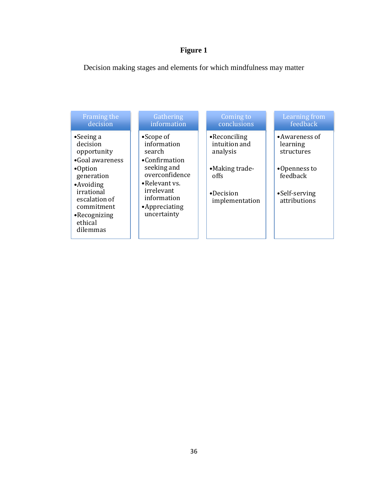## **Figure 1**

Decision making stages and elements for which mindfulness may matter

| Framing the                                                                                                                                                                                                  | Gathering                                                                                                                                                          | Coming to                                                                                                            | Learning from                                                                                                 |
|--------------------------------------------------------------------------------------------------------------------------------------------------------------------------------------------------------------|--------------------------------------------------------------------------------------------------------------------------------------------------------------------|----------------------------------------------------------------------------------------------------------------------|---------------------------------------------------------------------------------------------------------------|
| decision                                                                                                                                                                                                     | information                                                                                                                                                        | conclusions                                                                                                          | feedback                                                                                                      |
| $\bullet$ Seeing a<br>decision<br>opportunity<br>•Goal awareness<br>$\bullet$ Option<br>generation<br>•Avoiding<br>irrational<br>escalation of<br>commitment<br>$\bullet$ Recognizing<br>ethical<br>dilemmas | •Scope of<br>information<br>search<br>•Confirmation<br>seeking and<br>overconfidence<br>•Relevant vs.<br>irrelevant<br>information<br>•Appreciating<br>uncertainty | $\bullet$ Reconciling<br>intuition and<br>analysis<br>•Making trade-<br>offs<br>$\bullet$ Decision<br>implementation | •Awareness of<br>learning<br>structures<br>$\bullet$ Openness to<br>feedback<br>•Self-serving<br>attributions |